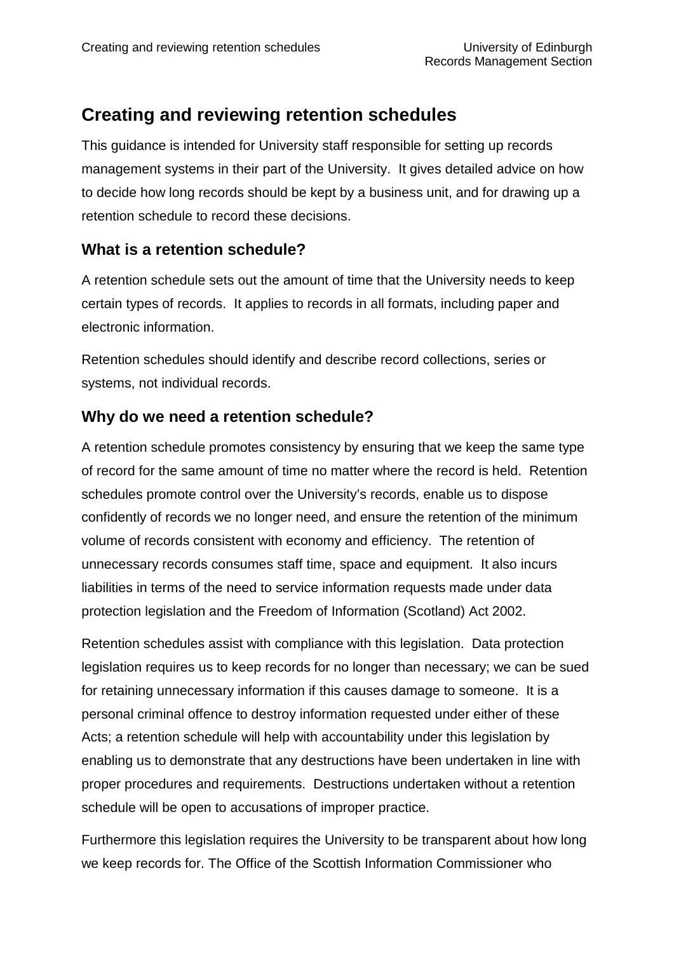# **Creating and reviewing retention schedules**

This guidance is intended for University staff responsible for setting up records management systems in their part of the University. It gives detailed advice on how to decide how long records should be kept by a business unit, and for drawing up a retention schedule to record these decisions.

## **What is a retention schedule?**

A retention schedule sets out the amount of time that the University needs to keep certain types of records. It applies to records in all formats, including paper and electronic information.

Retention schedules should identify and describe record collections, series or systems, not individual records.

## **Why do we need a retention schedule?**

A retention schedule promotes consistency by ensuring that we keep the same type of record for the same amount of time no matter where the record is held. Retention schedules promote control over the University's records, enable us to dispose confidently of records we no longer need, and ensure the retention of the minimum volume of records consistent with economy and efficiency. The retention of unnecessary records consumes staff time, space and equipment. It also incurs liabilities in terms of the need to service information requests made under data protection legislation and the Freedom of Information (Scotland) Act 2002.

Retention schedules assist with compliance with this legislation. Data protection legislation requires us to keep records for no longer than necessary; we can be sued for retaining unnecessary information if this causes damage to someone. It is a personal criminal offence to destroy information requested under either of these Acts; a retention schedule will help with accountability under this legislation by enabling us to demonstrate that any destructions have been undertaken in line with proper procedures and requirements. Destructions undertaken without a retention schedule will be open to accusations of improper practice.

Furthermore this legislation requires the University to be transparent about how long we keep records for. The Office of the Scottish Information Commissioner who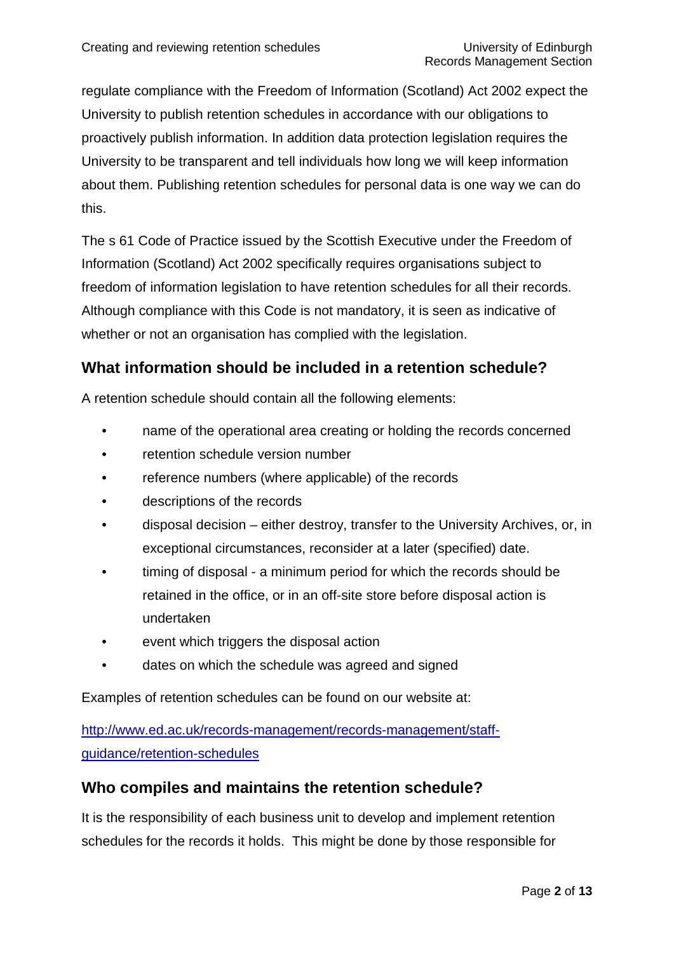regulate compliance with the Freedom of Information (Scotland) Act 2002 expect the University to publish retention schedules in accordance with our obligations to proactively publish information. In addition data protection legislation requires the University to be transparent and tell individuals how long we will keep information about them. Publishing retention schedules for personal data is one way we can do this.

The s 61 Code of Practice issued by the Scottish Executive under the Freedom of Information (Scotland) Act 2002 specifically requires organisations subject to freedom of information legislation to have retention schedules for all their records. Although compliance with this Code is not mandatory, it is seen as indicative of whether or not an organisation has complied with the legislation.

## **What information should be included in a retention schedule?**

A retention schedule should contain all the following elements:

- name of the operational area creating or holding the records concerned
- retention schedule version number
- reference numbers (where applicable) of the records
- descriptions of the records
- disposal decision either destroy, transfer to the University Archives, or, in exceptional circumstances, reconsider at a later (specified) date.
- timing of disposal a minimum period for which the records should be retained in the office, or in an off-site store before disposal action is undertaken
- event which triggers the disposal action
- dates on which the schedule was agreed and signed

Examples of retention schedules can be found on our website at:

[http://www.ed.ac.uk/records-management/records-management/staff](http://www.ed.ac.uk/records-management/records-management/staff-guidance/retention-schedules)[guidance/retention-schedules](http://www.ed.ac.uk/records-management/records-management/staff-guidance/retention-schedules)

## **Who compiles and maintains the retention schedule?**

It is the responsibility of each business unit to develop and implement retention schedules for the records it holds. This might be done by those responsible for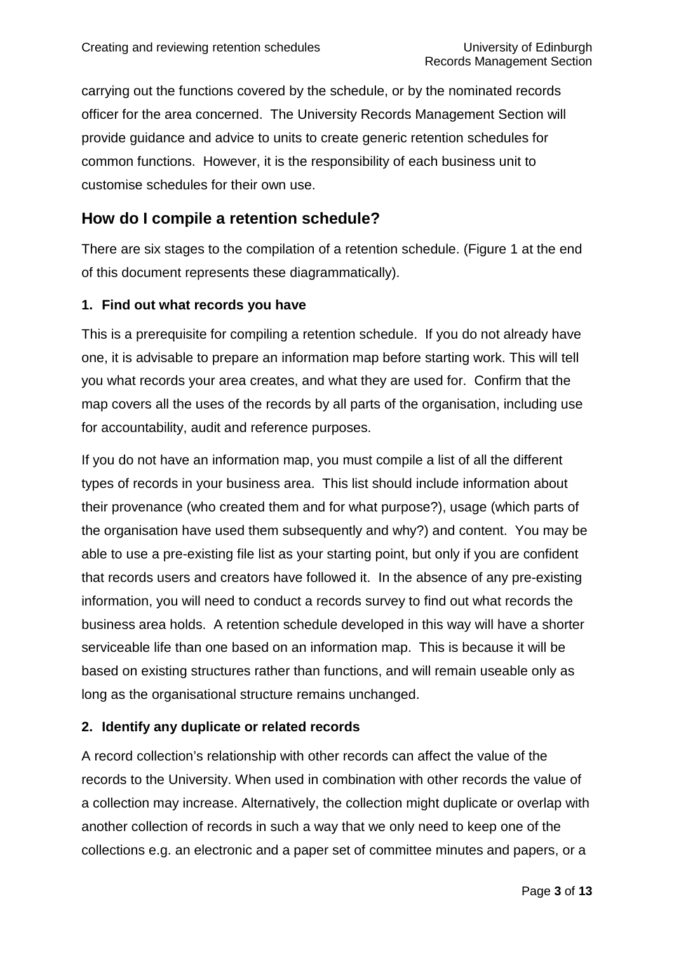carrying out the functions covered by the schedule, or by the nominated records officer for the area concerned. The University Records Management Section will provide guidance and advice to units to create generic retention schedules for common functions. However, it is the responsibility of each business unit to customise schedules for their own use.

## **How do I compile a retention schedule?**

There are six stages to the compilation of a retention schedule. (Figure 1 at the end of this document represents these diagrammatically).

#### **1. Find out what records you have**

This is a prerequisite for compiling a retention schedule. If you do not already have one, it is advisable to prepare an information map before starting work. This will tell you what records your area creates, and what they are used for. Confirm that the map covers all the uses of the records by all parts of the organisation, including use for accountability, audit and reference purposes.

If you do not have an information map, you must compile a list of all the different types of records in your business area. This list should include information about their provenance (who created them and for what purpose?), usage (which parts of the organisation have used them subsequently and why?) and content. You may be able to use a pre-existing file list as your starting point, but only if you are confident that records users and creators have followed it. In the absence of any pre-existing information, you will need to conduct a records survey to find out what records the business area holds. A retention schedule developed in this way will have a shorter serviceable life than one based on an information map. This is because it will be based on existing structures rather than functions, and will remain useable only as long as the organisational structure remains unchanged.

#### **2. Identify any duplicate or related records**

A record collection's relationship with other records can affect the value of the records to the University. When used in combination with other records the value of a collection may increase. Alternatively, the collection might duplicate or overlap with another collection of records in such a way that we only need to keep one of the collections e.g. an electronic and a paper set of committee minutes and papers, or a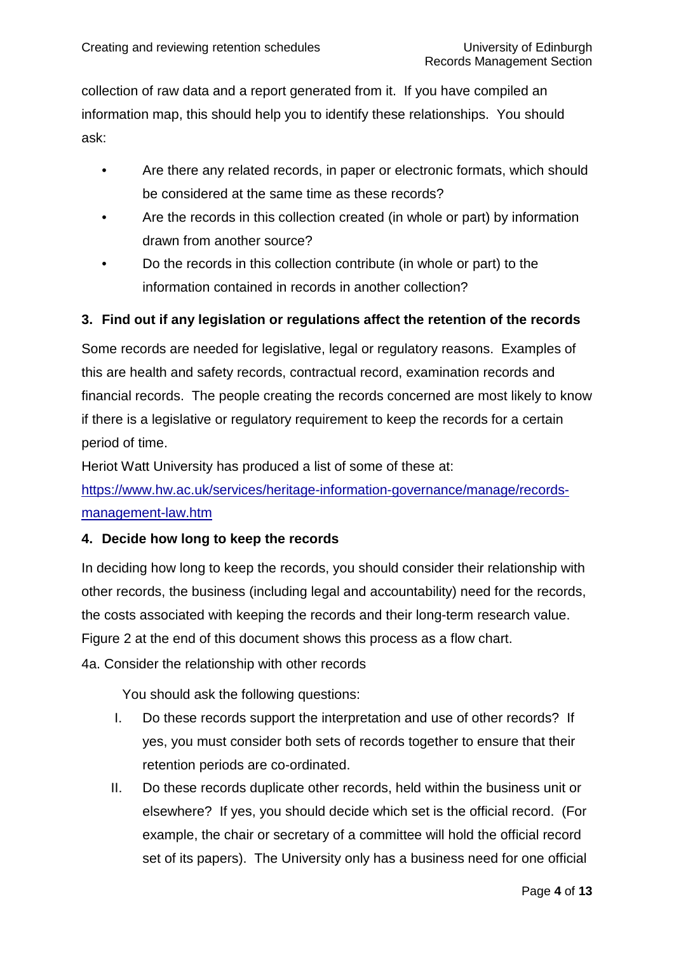collection of raw data and a report generated from it. If you have compiled an information map, this should help you to identify these relationships. You should ask:

- Are there any related records, in paper or electronic formats, which should be considered at the same time as these records?
- Are the records in this collection created (in whole or part) by information drawn from another source?
- Do the records in this collection contribute (in whole or part) to the information contained in records in another collection?

### **3. Find out if any legislation or regulations affect the retention of the records**

Some records are needed for legislative, legal or regulatory reasons. Examples of this are health and safety records, contractual record, examination records and financial records. The people creating the records concerned are most likely to know if there is a legislative or regulatory requirement to keep the records for a certain period of time.

Heriot Watt University has produced a list of some of these at:

[https://www.hw.ac.uk/services/heritage-information-governance/manage/records](https://www.hw.ac.uk/services/heritage-information-governance/manage/records-management-law.htm)[management-law.htm](https://www.hw.ac.uk/services/heritage-information-governance/manage/records-management-law.htm)

#### **4. Decide how long to keep the records**

In deciding how long to keep the records, you should consider their relationship with other records, the business (including legal and accountability) need for the records, the costs associated with keeping the records and their long-term research value. Figure 2 at the end of this document shows this process as a flow chart. 4a. Consider the relationship with other records

You should ask the following questions:

- I. Do these records support the interpretation and use of other records? If yes, you must consider both sets of records together to ensure that their retention periods are co-ordinated.
- II. Do these records duplicate other records, held within the business unit or elsewhere? If yes, you should decide which set is the official record. (For example, the chair or secretary of a committee will hold the official record set of its papers). The University only has a business need for one official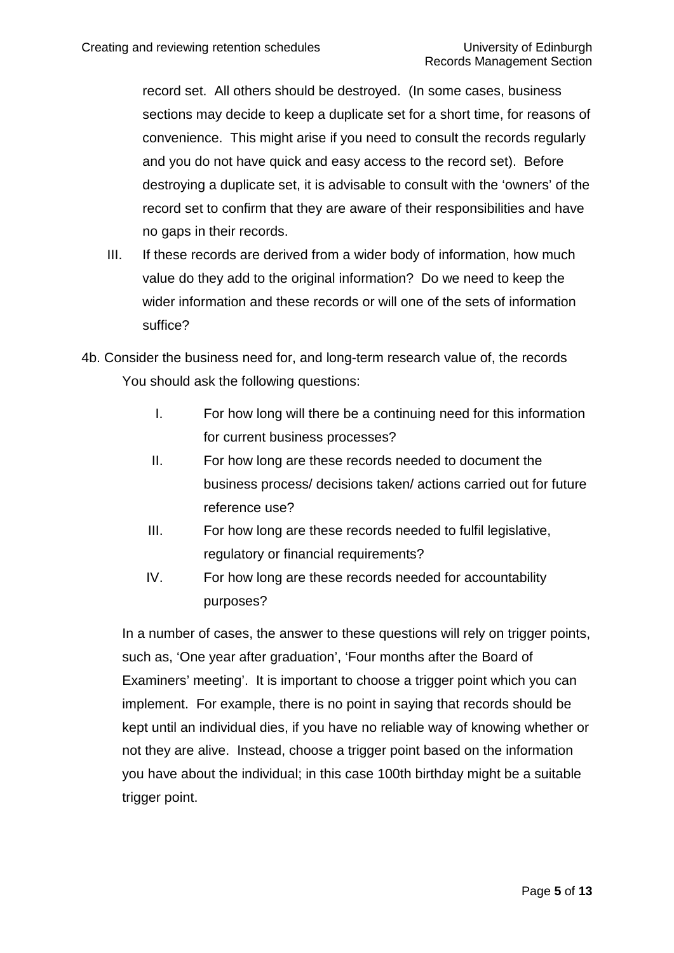record set. All others should be destroyed. (In some cases, business sections may decide to keep a duplicate set for a short time, for reasons of convenience. This might arise if you need to consult the records regularly and you do not have quick and easy access to the record set). Before destroying a duplicate set, it is advisable to consult with the 'owners' of the record set to confirm that they are aware of their responsibilities and have no gaps in their records.

- III. If these records are derived from a wider body of information, how much value do they add to the original information? Do we need to keep the wider information and these records or will one of the sets of information suffice?
- 4b. Consider the business need for, and long-term research value of, the records You should ask the following questions:
	- I. For how long will there be a continuing need for this information for current business processes?
	- II. For how long are these records needed to document the business process/ decisions taken/ actions carried out for future reference use?
	- III. For how long are these records needed to fulfil legislative, regulatory or financial requirements?
	- IV. For how long are these records needed for accountability purposes?

In a number of cases, the answer to these questions will rely on trigger points, such as, 'One year after graduation', 'Four months after the Board of Examiners' meeting'. It is important to choose a trigger point which you can implement. For example, there is no point in saying that records should be kept until an individual dies, if you have no reliable way of knowing whether or not they are alive. Instead, choose a trigger point based on the information you have about the individual; in this case 100th birthday might be a suitable trigger point.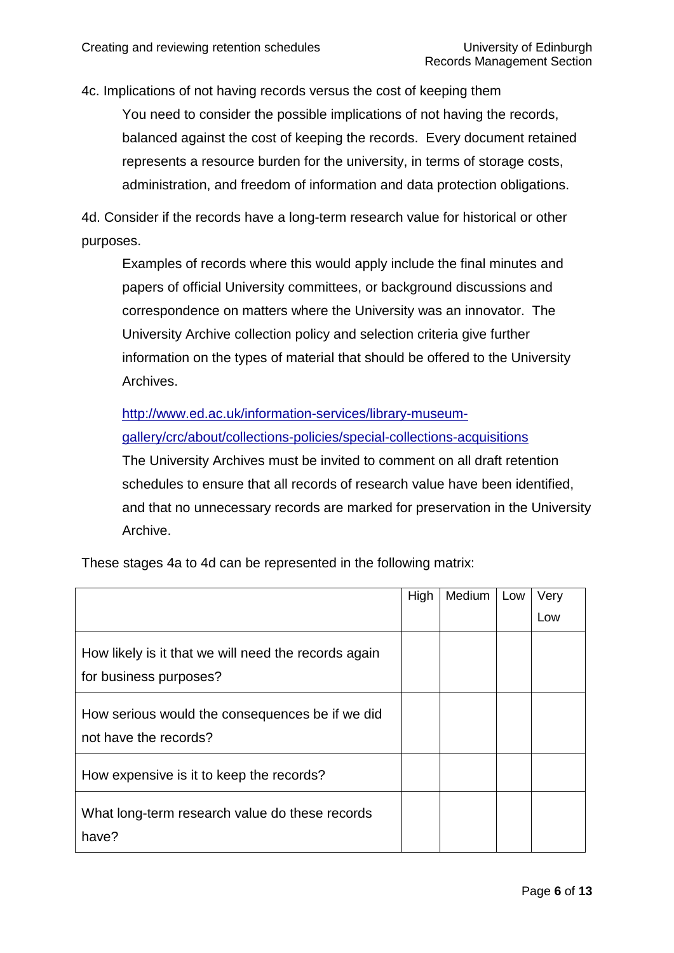4c. Implications of not having records versus the cost of keeping them

You need to consider the possible implications of not having the records, balanced against the cost of keeping the records. Every document retained represents a resource burden for the university, in terms of storage costs, administration, and freedom of information and data protection obligations.

4d. Consider if the records have a long-term research value for historical or other purposes.

Examples of records where this would apply include the final minutes and papers of official University committees, or background discussions and correspondence on matters where the University was an innovator. The University Archive collection policy and selection criteria give further information on the types of material that should be offered to the University Archives.

[http://www.ed.ac.uk/information-services/library-museum-](http://www.ed.ac.uk/information-services/library-museum-gallery/crc/about/collections-policies/special-collections-acquisitions)

[gallery/crc/about/collections-policies/special-collections-acquisitions](http://www.ed.ac.uk/information-services/library-museum-gallery/crc/about/collections-policies/special-collections-acquisitions)

The University Archives must be invited to comment on all draft retention schedules to ensure that all records of research value have been identified, and that no unnecessary records are marked for preservation in the University Archive.

These stages 4a to 4d can be represented in the following matrix:

|                                                                                | High | Medium | Low | Very |
|--------------------------------------------------------------------------------|------|--------|-----|------|
|                                                                                |      |        |     | Low  |
| How likely is it that we will need the records again<br>for business purposes? |      |        |     |      |
| How serious would the consequences be if we did<br>not have the records?       |      |        |     |      |
| How expensive is it to keep the records?                                       |      |        |     |      |
| What long-term research value do these records<br>have?                        |      |        |     |      |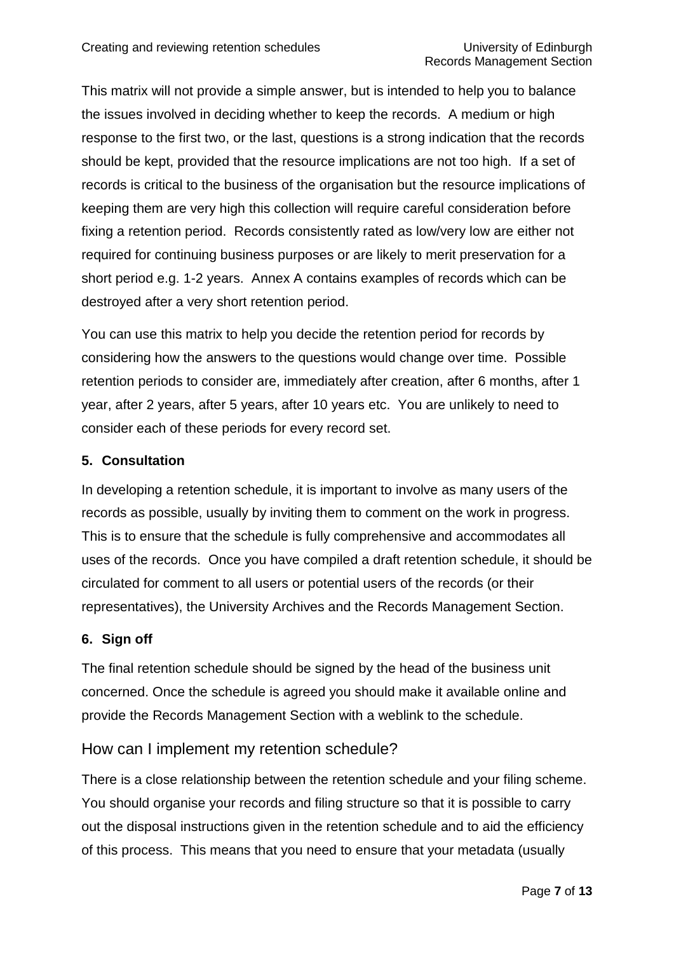This matrix will not provide a simple answer, but is intended to help you to balance the issues involved in deciding whether to keep the records. A medium or high response to the first two, or the last, questions is a strong indication that the records should be kept, provided that the resource implications are not too high. If a set of records is critical to the business of the organisation but the resource implications of keeping them are very high this collection will require careful consideration before fixing a retention period. Records consistently rated as low/very low are either not required for continuing business purposes or are likely to merit preservation for a short period e.g. 1-2 years. Annex A contains examples of records which can be destroyed after a very short retention period.

You can use this matrix to help you decide the retention period for records by considering how the answers to the questions would change over time. Possible retention periods to consider are, immediately after creation, after 6 months, after 1 year, after 2 years, after 5 years, after 10 years etc. You are unlikely to need to consider each of these periods for every record set.

### **5. Consultation**

In developing a retention schedule, it is important to involve as many users of the records as possible, usually by inviting them to comment on the work in progress. This is to ensure that the schedule is fully comprehensive and accommodates all uses of the records. Once you have compiled a draft retention schedule, it should be circulated for comment to all users or potential users of the records (or their representatives), the University Archives and the Records Management Section.

#### **6. Sign off**

The final retention schedule should be signed by the head of the business unit concerned. Once the schedule is agreed you should make it available online and provide the Records Management Section with a weblink to the schedule.

### How can I implement my retention schedule?

There is a close relationship between the retention schedule and your filing scheme. You should organise your records and filing structure so that it is possible to carry out the disposal instructions given in the retention schedule and to aid the efficiency of this process. This means that you need to ensure that your metadata (usually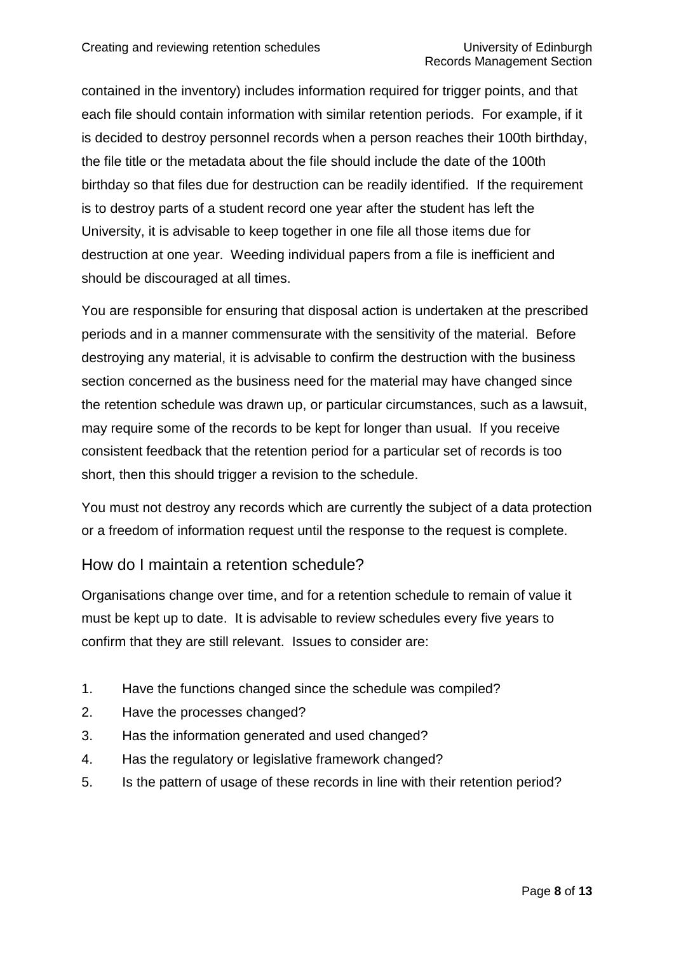contained in the inventory) includes information required for trigger points, and that each file should contain information with similar retention periods. For example, if it is decided to destroy personnel records when a person reaches their 100th birthday, the file title or the metadata about the file should include the date of the 100th birthday so that files due for destruction can be readily identified. If the requirement is to destroy parts of a student record one year after the student has left the University, it is advisable to keep together in one file all those items due for destruction at one year. Weeding individual papers from a file is inefficient and should be discouraged at all times.

You are responsible for ensuring that disposal action is undertaken at the prescribed periods and in a manner commensurate with the sensitivity of the material. Before destroying any material, it is advisable to confirm the destruction with the business section concerned as the business need for the material may have changed since the retention schedule was drawn up, or particular circumstances, such as a lawsuit, may require some of the records to be kept for longer than usual. If you receive consistent feedback that the retention period for a particular set of records is too short, then this should trigger a revision to the schedule.

You must not destroy any records which are currently the subject of a data protection or a freedom of information request until the response to the request is complete.

### How do I maintain a retention schedule?

Organisations change over time, and for a retention schedule to remain of value it must be kept up to date. It is advisable to review schedules every five years to confirm that they are still relevant. Issues to consider are:

- 1. Have the functions changed since the schedule was compiled?
- 2. Have the processes changed?
- 3. Has the information generated and used changed?
- 4. Has the regulatory or legislative framework changed?
- 5. Is the pattern of usage of these records in line with their retention period?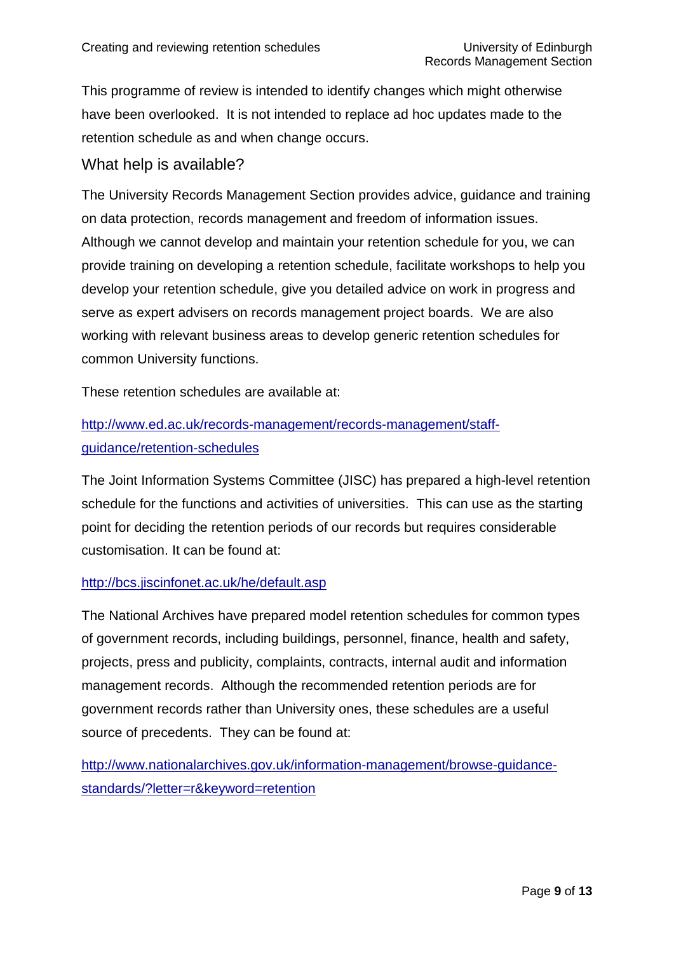This programme of review is intended to identify changes which might otherwise have been overlooked. It is not intended to replace ad hoc updates made to the retention schedule as and when change occurs.

## What help is available?

The University Records Management Section provides advice, guidance and training on data protection, records management and freedom of information issues. Although we cannot develop and maintain your retention schedule for you, we can provide training on developing a retention schedule, facilitate workshops to help you develop your retention schedule, give you detailed advice on work in progress and serve as expert advisers on records management project boards. We are also working with relevant business areas to develop generic retention schedules for common University functions.

These retention schedules are available at:

# [http://www.ed.ac.uk/records-management/records-management/staff](http://www.ed.ac.uk/records-management/records-management/staff-guidance/retention-schedules)[guidance/retention-schedules](http://www.ed.ac.uk/records-management/records-management/staff-guidance/retention-schedules)

The Joint Information Systems Committee (JISC) has prepared a high-level retention schedule for the functions and activities of universities. This can use as the starting point for deciding the retention periods of our records but requires considerable customisation. It can be found at:

#### <http://bcs.jiscinfonet.ac.uk/he/default.asp>

The National Archives have prepared model retention schedules for common types of government records, including buildings, personnel, finance, health and safety, projects, press and publicity, complaints, contracts, internal audit and information management records. Although the recommended retention periods are for government records rather than University ones, these schedules are a useful source of precedents. They can be found at:

[http://www.nationalarchives.gov.uk/information-management/browse-guidance](http://www.nationalarchives.gov.uk/information-management/browse-guidance-standards/?letter=r&keyword=retention)[standards/?letter=r&keyword=retention](http://www.nationalarchives.gov.uk/information-management/browse-guidance-standards/?letter=r&keyword=retention)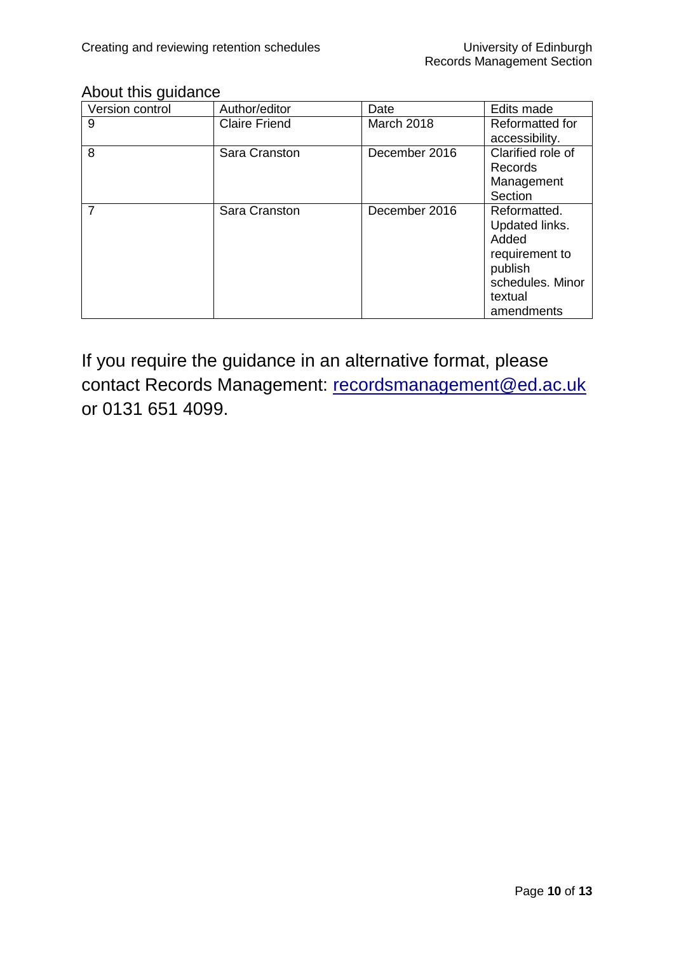## About this guidance

| Version control | Author/editor        | Date          | Edits made             |
|-----------------|----------------------|---------------|------------------------|
| 9               | <b>Claire Friend</b> | March 2018    | <b>Reformatted for</b> |
|                 |                      |               | accessibility.         |
| 8               | Sara Cranston        | December 2016 | Clarified role of      |
|                 |                      |               | <b>Records</b>         |
|                 |                      |               | Management             |
|                 |                      |               | Section                |
| 7               | Sara Cranston        | December 2016 | Reformatted.           |
|                 |                      |               | Updated links.         |
|                 |                      |               | Added                  |
|                 |                      |               | requirement to         |
|                 |                      |               | publish                |
|                 |                      |               | schedules, Minor       |
|                 |                      |               | textual                |
|                 |                      |               | amendments             |

If you require the guidance in an alternative format, please contact Records Management: [recordsmanagement@ed.ac.uk](mailto:recordsmanagement@ed.ac.uk) or 0131 651 4099.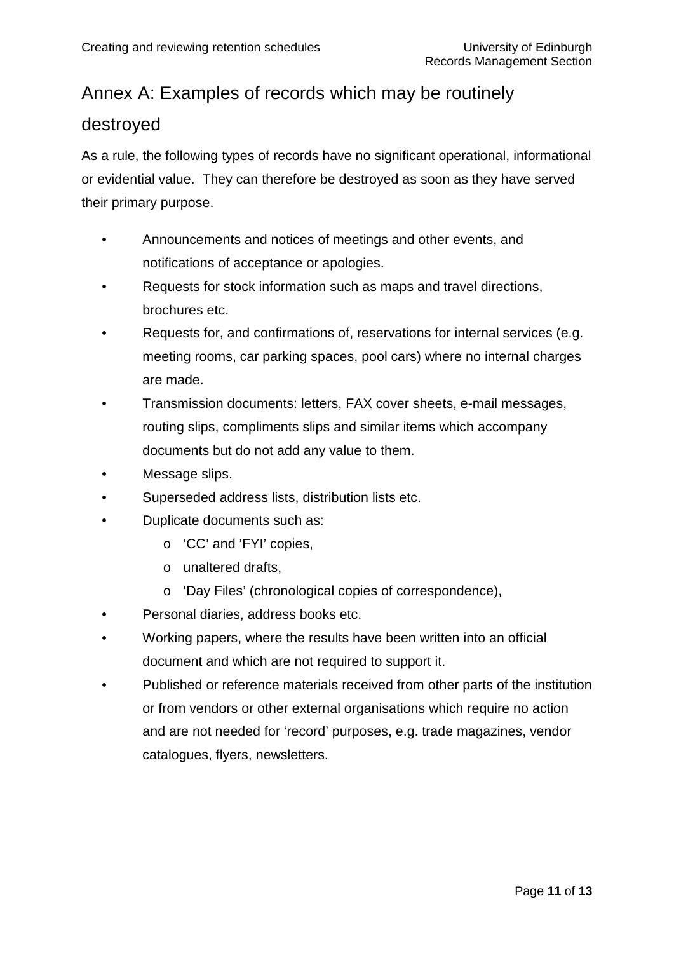# Annex A: Examples of records which may be routinely

## destroyed

As a rule, the following types of records have no significant operational, informational or evidential value. They can therefore be destroyed as soon as they have served their primary purpose.

- Announcements and notices of meetings and other events, and notifications of acceptance or apologies.
- Requests for stock information such as maps and travel directions, brochures etc.
- Requests for, and confirmations of, reservations for internal services (e.g. meeting rooms, car parking spaces, pool cars) where no internal charges are made.
- Transmission documents: letters, FAX cover sheets, e-mail messages, routing slips, compliments slips and similar items which accompany documents but do not add any value to them.
- Message slips.
- Superseded address lists, distribution lists etc.
- Duplicate documents such as:
	- o 'CC' and 'FYI' copies,
	- o unaltered drafts,
	- o 'Day Files' (chronological copies of correspondence),
- Personal diaries, address books etc.
- Working papers, where the results have been written into an official document and which are not required to support it.
- Published or reference materials received from other parts of the institution or from vendors or other external organisations which require no action and are not needed for 'record' purposes, e.g. trade magazines, vendor catalogues, flyers, newsletters.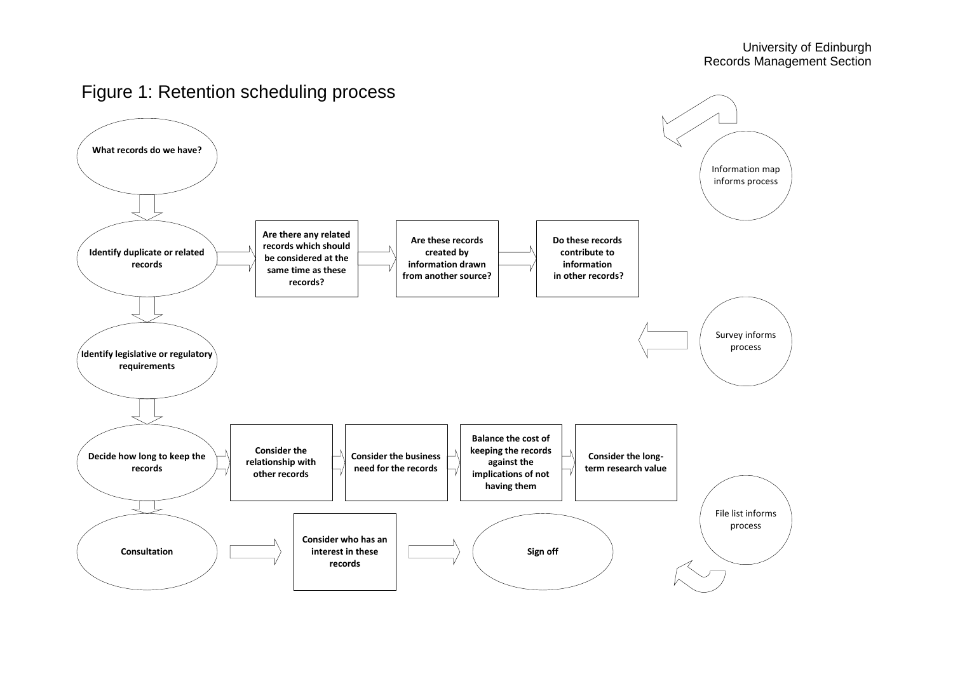

# Figure 1: Retention scheduling process